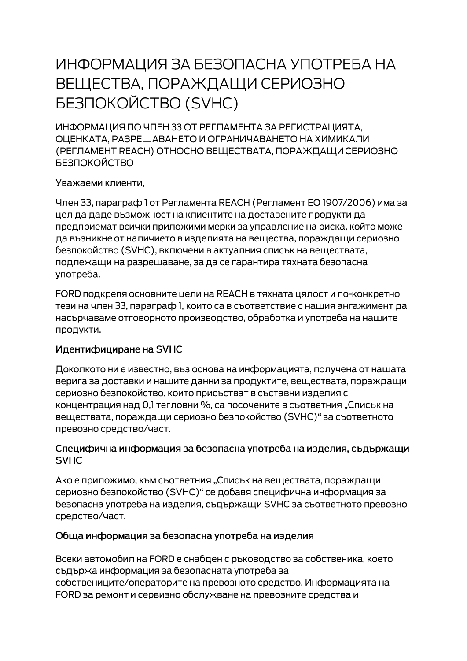# ИНФОРМАЦИЯ ЗА БЕЗОПАСНА УПОТРЕБА НА ВЕЩЕСТВА, ПОРАЖДАЩИ СЕРИОЗНО **БЕЗПОКОЙСТВО (SVHC)**

ИНФОРМАЦИЯ ПО ЧЛЕН 33 ОТ РЕГЛАМЕНТА ЗА РЕГИСТРАЦИЯТА. ОЦЕНКАТА, РАЗРЕШАВАНЕТО И ОГРАНИЧАВАНЕТО НА ХИМИКАЛИ (РЕГЛАМЕНТ REACH) ОТНОСНО ВЕЩЕСТВАТА, ПОРАЖДАЩИ СЕРИОЗНО **БЕЗПОКОЙСТВО** 

Уважаеми клиенти,

Член 33, параграф 1 от Регламента REACH (Регламент ЕО 1907/2006) има за цел да даде възможност на клиентите на доставените продукти да предприемат всички приложими мерки за управление на риска, който може да възникне от наличието в изделията на вещества, пораждащи сериозно безпокойство (SVHC), включени в актуалния списък на веществата, подлежащи на разрешаване, за да се гарантира тяхната безопасна употреба.

FORD подкрепя основните цели на REACH в тяхната цялост и по-конкретно тези на член 33, параграф 1, които са в съответствие с нашия ангажимент да насърчаваме отговорното производство, обработка и употреба на нашите продукти.

#### Идентифициране на SVHC

Доколкото ни е известно, въз основа на информацията, получена от нашата верига за доставки и нашите данни за продуктите, веществата, пораждащи сериозно безпокойство, които присъстват в съставни изделия с концентрация над 0,1 тегловни %, са посочените в съответния "Списък на веществата, пораждащи сериозно безпокойство (SVHC)" за съответното превозно средство/част.

#### Специфична информация за безопасна употреба на изделия, съдържащи **SVHC**

Ако е приложимо, към съответния "Списък на веществата, пораждащи сериозно безпокойство (SVHC)" се добавя специфична информация за безопасна употреба на изделия, съдържащи SVHC за съответното превозно средство/част.

#### Обща информация за безопасна употреба на изделия

Всеки автомобил на FORD е снабден с ръководство за собственика, което съдържа информация за безопасната употреба за собствениците/операторите на превозното средство. Информацията на FORD за ремонт и сервизно обслужване на превозните средства и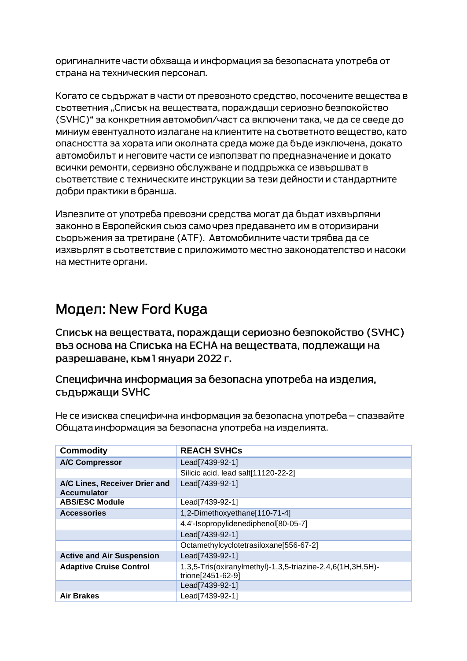оригиналните части обхваща и информация за безопасната употреба от страна на техническия персонал.

Когато се съдържат в части от превозното средство, посочените вещества в съответния "Списък на веществата, пораждащи сериозно безпокойство (SVHC)" за конкретния автомобил/част са включени така, че да се сведе до миниум евентуалното излагане на клиентите на съответното вещество, като опасността за хората или околната среда може да бъде изключена, докато автомобилът и неговите части се използват по предназначение и докато всички ремонти, сервизно обслужване и поддръжка се извършват в съответствие с техническите инструкции за тези дейности и стандартните добри практики в бранша.

Излезлите от употреба превозни средства могат да бъдат изхвърляни законно в Европейския съюз само чрез предаването им в оторизирани сьоръжения за третиране (АТЕ). Автомобилните части трябва да се изхвърлят в съответствие с приложимото местно законодателство и насоки на местните органи.

## Модел: New Ford Kuga

Списък на веществата, пораждащи сериозно безпокойство (SVHC) въз основа на Списъка на ЕСНА на веществата, подлежащи на разрешаване, към 1 януари 2022 г.

### Специфична информация за безопасна употреба на изделия, съдържащи SVHC

Не се изисква специфична информация за безопасна употреба – спазвайте Общата информация за безопасна употреба на изделията.

| <b>Commodity</b>                                    | <b>REACH SVHCs</b>                                                              |
|-----------------------------------------------------|---------------------------------------------------------------------------------|
| <b>A/C Compressor</b>                               | Lead[7439-92-1]                                                                 |
|                                                     | Silicic acid, lead salt[11120-22-2]                                             |
| A/C Lines, Receiver Drier and<br><b>Accumulator</b> | Lead[7439-92-1]                                                                 |
| <b>ABS/ESC Module</b>                               | Lead[7439-92-1]                                                                 |
| <b>Accessories</b>                                  | 1,2-Dimethoxyethane[110-71-4]                                                   |
|                                                     | 4,4'-Isopropylidenediphenol[80-05-7]                                            |
|                                                     | Lead[7439-92-1]                                                                 |
|                                                     | Octamethylcyclotetrasiloxane[556-67-2]                                          |
| <b>Active and Air Suspension</b>                    | Lead[7439-92-1]                                                                 |
| <b>Adaptive Cruise Control</b>                      | 1,3,5-Tris(oxiranylmethyl)-1,3,5-triazine-2,4,6(1H,3H,5H)-<br>trione[2451-62-9] |
|                                                     | Lead[7439-92-1]                                                                 |
| <b>Air Brakes</b>                                   | Lead[7439-92-1]                                                                 |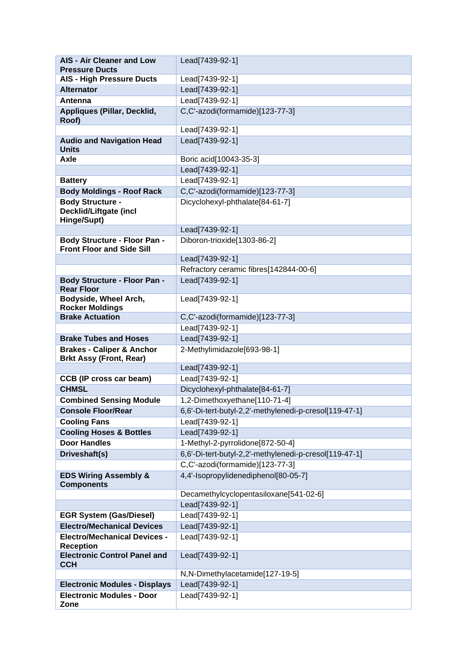| <b>AIS - Air Cleaner and Low</b>                                        | Lead[7439-92-1]                                        |
|-------------------------------------------------------------------------|--------------------------------------------------------|
| <b>Pressure Ducts</b>                                                   |                                                        |
| <b>AIS - High Pressure Ducts</b>                                        | Lead[7439-92-1]                                        |
| <b>Alternator</b>                                                       | Lead[7439-92-1]                                        |
| Antenna                                                                 | Lead[7439-92-1]                                        |
| Appliques (Pillar, Decklid,<br>Roof)                                    | C,C'-azodi(formamide)[123-77-3]                        |
|                                                                         | Lead[7439-92-1]                                        |
| <b>Audio and Navigation Head</b><br><b>Units</b>                        | Lead[7439-92-1]                                        |
| Axle                                                                    | Boric acid[10043-35-3]                                 |
|                                                                         | Lead[7439-92-1]                                        |
| <b>Battery</b>                                                          | Lead[7439-92-1]                                        |
| <b>Body Moldings - Roof Rack</b>                                        | C,C'-azodi(formamide)[123-77-3]                        |
| <b>Body Structure -</b><br>Decklid/Liftgate (incl<br>Hinge/Supt)        | Dicyclohexyl-phthalate[84-61-7]                        |
|                                                                         | Lead[7439-92-1]                                        |
| <b>Body Structure - Floor Pan -</b><br><b>Front Floor and Side Sill</b> | Diboron-trioxide[1303-86-2]                            |
|                                                                         | Lead[7439-92-1]                                        |
|                                                                         | Refractory ceramic fibres[142844-00-6]                 |
| <b>Body Structure - Floor Pan -</b>                                     | Lead[7439-92-1]                                        |
| <b>Rear Floor</b>                                                       |                                                        |
| Bodyside, Wheel Arch,<br><b>Rocker Moldings</b>                         | Lead[7439-92-1]                                        |
| <b>Brake Actuation</b>                                                  | C,C'-azodi(formamide)[123-77-3]                        |
|                                                                         | Lead[7439-92-1]                                        |
| <b>Brake Tubes and Hoses</b>                                            | Lead[7439-92-1]                                        |
| <b>Brakes - Caliper &amp; Anchor</b><br><b>Brkt Assy (Front, Rear)</b>  | 2-Methylimidazole[693-98-1]                            |
|                                                                         | Lead[7439-92-1]                                        |
| <b>CCB (IP cross car beam)</b>                                          | Lead[7439-92-1]                                        |
| <b>CHMSL</b>                                                            | Dicyclohexyl-phthalate[84-61-7]                        |
| <b>Combined Sensing Module</b>                                          | 1,2-Dimethoxyethane[110-71-4]                          |
| <b>Console Floor/Rear</b>                                               | 6,6'-Di-tert-butyl-2,2'-methylenedi-p-cresol[119-47-1] |
| <b>Cooling Fans</b>                                                     | Lead[7439-92-1]                                        |
| <b>Cooling Hoses &amp; Bottles</b>                                      | Lead[7439-92-1]                                        |
| <b>Door Handles</b>                                                     | 1-Methyl-2-pyrrolidone[872-50-4]                       |
| Driveshaft(s)                                                           | 6,6'-Di-tert-butyl-2,2'-methylenedi-p-cresol[119-47-1] |
|                                                                         | C,C'-azodi(formamide)[123-77-3]                        |
| <b>EDS Wiring Assembly &amp;</b><br><b>Components</b>                   | 4,4'-Isopropylidenediphenol[80-05-7]                   |
|                                                                         | Decamethylcyclopentasiloxane[541-02-6]                 |
|                                                                         | Lead[7439-92-1]                                        |
| <b>EGR System (Gas/Diesel)</b>                                          | Lead[7439-92-1]                                        |
| <b>Electro/Mechanical Devices</b>                                       | Lead[7439-92-1]                                        |
| <b>Electro/Mechanical Devices -</b><br><b>Reception</b>                 | Lead[7439-92-1]                                        |
| <b>Electronic Control Panel and</b><br><b>CCH</b>                       | Lead[7439-92-1]                                        |
|                                                                         | N,N-Dimethylacetamide[127-19-5]                        |
| <b>Electronic Modules - Displays</b>                                    | Lead[7439-92-1]                                        |
| <b>Electronic Modules - Door</b>                                        | Lead[7439-92-1]                                        |
| Zone                                                                    |                                                        |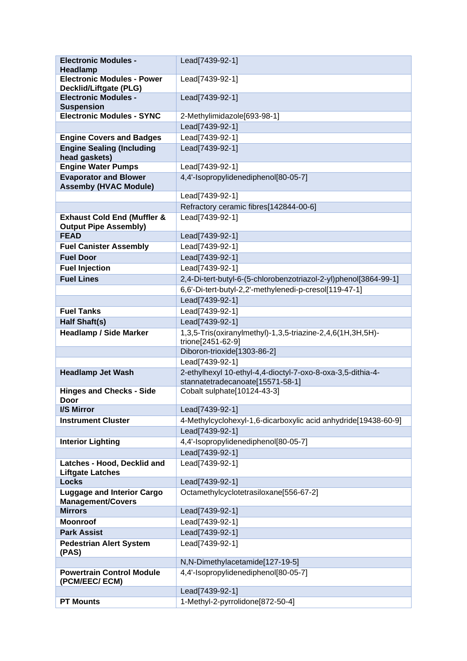| <b>Electronic Modules -</b><br><b>Headlamp</b>                         | Lead[7439-92-1]                                                                                 |
|------------------------------------------------------------------------|-------------------------------------------------------------------------------------------------|
| <b>Electronic Modules - Power</b><br><b>Decklid/Liftgate (PLG)</b>     | Lead[7439-92-1]                                                                                 |
| <b>Electronic Modules -</b>                                            | Lead[7439-92-1]                                                                                 |
| <b>Suspension</b>                                                      |                                                                                                 |
| <b>Electronic Modules - SYNC</b>                                       | 2-Methylimidazole[693-98-1]                                                                     |
|                                                                        | Lead[7439-92-1]                                                                                 |
| <b>Engine Covers and Badges</b>                                        | Lead[7439-92-1]                                                                                 |
| <b>Engine Sealing (Including</b><br>head gaskets)                      | Lead[7439-92-1]                                                                                 |
| <b>Engine Water Pumps</b>                                              | Lead[7439-92-1]                                                                                 |
| <b>Evaporator and Blower</b><br><b>Assemby (HVAC Module)</b>           | 4,4'-Isopropylidenediphenol[80-05-7]                                                            |
|                                                                        | Lead[7439-92-1]                                                                                 |
|                                                                        | Refractory ceramic fibres[142844-00-6]                                                          |
| <b>Exhaust Cold End (Muffler &amp;</b><br><b>Output Pipe Assembly)</b> | Lead[7439-92-1]                                                                                 |
| <b>FEAD</b>                                                            | Lead[7439-92-1]                                                                                 |
| <b>Fuel Canister Assembly</b>                                          | Lead[7439-92-1]                                                                                 |
| <b>Fuel Door</b>                                                       | Lead[7439-92-1]                                                                                 |
| <b>Fuel Injection</b>                                                  | Lead[7439-92-1]                                                                                 |
| <b>Fuel Lines</b>                                                      | 2,4-Di-tert-butyl-6-(5-chlorobenzotriazol-2-yl)phenol[3864-99-1]                                |
|                                                                        | 6,6'-Di-tert-butyl-2,2'-methylenedi-p-cresol[119-47-1]                                          |
|                                                                        | Lead[7439-92-1]                                                                                 |
| <b>Fuel Tanks</b>                                                      | Lead[7439-92-1]                                                                                 |
| <b>Half Shaft(s)</b>                                                   | Lead[7439-92-1]                                                                                 |
| <b>Headlamp / Side Marker</b>                                          | 1,3,5-Tris(oxiranylmethyl)-1,3,5-triazine-2,4,6(1H,3H,5H)-<br>trione[2451-62-9]                 |
|                                                                        | Diboron-trioxide[1303-86-2]                                                                     |
|                                                                        | Lead[7439-92-1]                                                                                 |
| <b>Headlamp Jet Wash</b>                                               | 2-ethylhexyl 10-ethyl-4,4-dioctyl-7-oxo-8-oxa-3,5-dithia-4-<br>stannatetradecanoate[15571-58-1] |
| <b>Hinges and Checks - Side</b><br><b>Door</b>                         | Cobalt sulphate[10124-43-3]                                                                     |
| I/S Mirror                                                             | Lead[7439-92-1]                                                                                 |
| <b>Instrument Cluster</b>                                              | 4-Methylcyclohexyl-1,6-dicarboxylic acid anhydride[19438-60-9]                                  |
|                                                                        | Lead[7439-92-1]                                                                                 |
| <b>Interior Lighting</b>                                               | 4,4'-Isopropylidenediphenol[80-05-7]                                                            |
|                                                                        | Lead[7439-92-1]                                                                                 |
| Latches - Hood, Decklid and<br><b>Liftgate Latches</b>                 | Lead[7439-92-1]                                                                                 |
| <b>Locks</b>                                                           | Lead[7439-92-1]                                                                                 |
| <b>Luggage and Interior Cargo</b><br><b>Management/Covers</b>          | Octamethylcyclotetrasiloxane[556-67-2]                                                          |
| <b>Mirrors</b>                                                         | Lead[7439-92-1]                                                                                 |
| <b>Moonroof</b>                                                        | Lead[7439-92-1]                                                                                 |
| <b>Park Assist</b>                                                     | Lead[7439-92-1]                                                                                 |
| <b>Pedestrian Alert System</b><br>(PAS)                                | Lead[7439-92-1]                                                                                 |
|                                                                        | N,N-Dimethylacetamide[127-19-5]                                                                 |
| <b>Powertrain Control Module</b><br>(PCM/EEC/ ECM)                     | 4,4'-Isopropylidenediphenol[80-05-7]                                                            |
|                                                                        | Lead[7439-92-1]                                                                                 |
| <b>PT Mounts</b>                                                       | 1-Methyl-2-pyrrolidone[872-50-4]                                                                |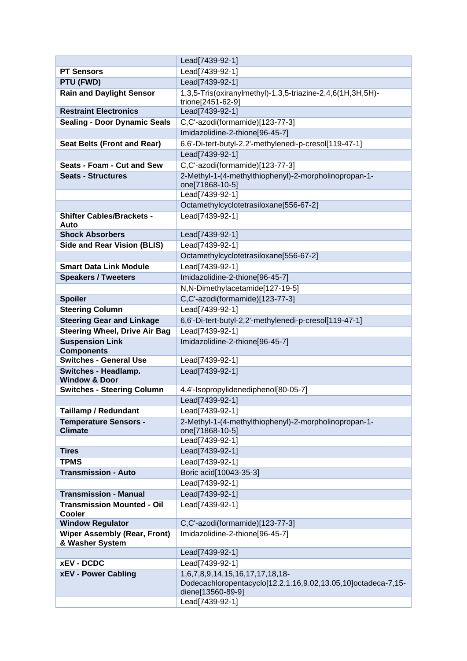|                                                        | Lead[7439-92-1]                                                                    |
|--------------------------------------------------------|------------------------------------------------------------------------------------|
| <b>PT Sensors</b>                                      | Lead[7439-92-1]                                                                    |
| PTU (FWD)                                              | Lead[7439-92-1]                                                                    |
| <b>Rain and Daylight Sensor</b>                        | 1,3,5-Tris(oxiranylmethyl)-1,3,5-triazine-2,4,6(1H,3H,5H)-                         |
| <b>Restraint Electronics</b>                           | trione[2451-62-9]                                                                  |
|                                                        | Lead[7439-92-1]                                                                    |
| <b>Sealing - Door Dynamic Seals</b>                    | C,C'-azodi(formamide)[123-77-3]                                                    |
|                                                        | Imidazolidine-2-thione[96-45-7]                                                    |
| <b>Seat Belts (Front and Rear)</b>                     | 6,6'-Di-tert-butyl-2,2'-methylenedi-p-cresol[119-47-1]                             |
|                                                        | Lead[7439-92-1]                                                                    |
| Seats - Foam - Cut and Sew                             | C,C'-azodi(formamide)[123-77-3]                                                    |
| <b>Seats - Structures</b>                              | 2-Methyl-1-(4-methylthiophenyl)-2-morpholinopropan-1-                              |
|                                                        | one[71868-10-5]<br>Lead[7439-92-1]                                                 |
|                                                        | Octamethylcyclotetrasiloxane[556-67-2]                                             |
| <b>Shifter Cables/Brackets -</b>                       | Lead[7439-92-1]                                                                    |
| Auto                                                   |                                                                                    |
| <b>Shock Absorbers</b>                                 | Lead[7439-92-1]                                                                    |
| <b>Side and Rear Vision (BLIS)</b>                     | Lead[7439-92-1]                                                                    |
|                                                        | Octamethylcyclotetrasiloxane[556-67-2]                                             |
| <b>Smart Data Link Module</b>                          | Lead[7439-92-1]                                                                    |
| <b>Speakers / Tweeters</b>                             | Imidazolidine-2-thione[96-45-7]                                                    |
|                                                        | N,N-Dimethylacetamide[127-19-5]                                                    |
| <b>Spoiler</b>                                         | C,C'-azodi(formamide)[123-77-3]                                                    |
| <b>Steering Column</b>                                 | Lead[7439-92-1]                                                                    |
| <b>Steering Gear and Linkage</b>                       | 6,6'-Di-tert-butyl-2,2'-methylenedi-p-cresol[119-47-1]                             |
| <b>Steering Wheel, Drive Air Bag</b>                   | Lead[7439-92-1]                                                                    |
| <b>Suspension Link</b><br><b>Components</b>            | Imidazolidine-2-thione[96-45-7]                                                    |
| <b>Switches - General Use</b>                          | Lead[7439-92-1]                                                                    |
| <b>Switches - Headlamp.</b>                            | Lead[7439-92-1]                                                                    |
| <b>Window &amp; Door</b>                               |                                                                                    |
| <b>Switches - Steering Column</b>                      | 4,4'-Isopropylidenediphenol[80-05-7]                                               |
|                                                        | Lead[7439-92-1]                                                                    |
| <b>Taillamp / Redundant</b>                            | Lead[7439-92-1]                                                                    |
| <b>Temperature Sensors -</b><br><b>Climate</b>         | 2-Methyl-1-(4-methylthiophenyl)-2-morpholinopropan-1-                              |
|                                                        | one[71868-10-5]<br>Lead[7439-92-1]                                                 |
| <b>Tires</b>                                           | Lead[7439-92-1]                                                                    |
| <b>TPMS</b>                                            | Lead[7439-92-1]                                                                    |
| <b>Transmission - Auto</b>                             | Boric acid[10043-35-3]                                                             |
|                                                        | Lead[7439-92-1]                                                                    |
| <b>Transmission - Manual</b>                           | Lead[7439-92-1]                                                                    |
| <b>Transmission Mounted - Oil</b>                      | Lead[7439-92-1]                                                                    |
| <b>Cooler</b>                                          |                                                                                    |
| <b>Window Regulator</b>                                | C,C'-azodi(formamide)[123-77-3]                                                    |
| <b>Wiper Assembly (Rear, Front)</b><br>& Washer System | Imidazolidine-2-thione[96-45-7]                                                    |
|                                                        | Lead[7439-92-1]                                                                    |
| <b>xEV - DCDC</b>                                      | Lead[7439-92-1]                                                                    |
| <b>xEV - Power Cabling</b>                             | 1,6,7,8,9,14,15,16,17,17,18,18-                                                    |
|                                                        | Dodecachloropentacyclo[12.2.1.16,9.02,13.05,10]octadeca-7,15-<br>diene[13560-89-9] |
|                                                        | Lead[7439-92-1]                                                                    |